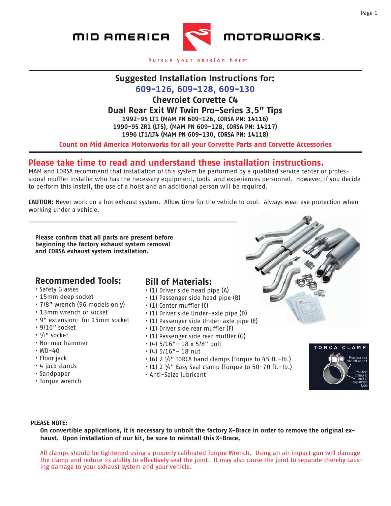

Pursue your passion here®

# **Suggested Installation Instructions for:**

**609-126, 609-128, 609-130**

**Chevrolet Corvette C4**

### **Dual Rear Exit W/ Twin Pro-Series 3.5" Tips**

**1992-95 LT1 (MAM PN 609-126, CORSA PN: 14116) 1990-95 ZR1 (LT5), (MAM PN 609-128, CORSA PN: 14117) 1996 LT1/LT4 (MAM PN 609-130, CORSA PN: 14118)**

**Count on Mid America Motorworks for all your Corvette Parts and Corvette Accessories**

# **Please take time to read and understand these installation instructions.**

MAM and CORSA recommend that installation of this system be performed by a qualified service center or professional muffler installer who has the necessary equipment, tools, and experiences personnel. However, if you decide to perform this install, the use of a hoist and an additional person will be required.

**CAUTION:** Never work on a hot exhaust system. Allow time for the vehicle to cool. Always wear eye protection when working under a vehicle.

**Please confirm that all parts are present before beginning the factory exhaust system removal and CORSA exhaust system installation.** 

## **Recommended Tools:**

- Safety Glasses
- 15mm deep socket
- 7/8" wrench (96 models only)
- 13mm wrench or socket
- 9" extension- for 15mm socket
- 9/16" socket
- ½" socket
- No-mar hammer
- $\cdot$  WD-40
- Floor jack
- 4 jack stands
- Sandpaper
- Torque wrench

## **Bill of Materials:**

- (1) Driver side head pipe (A)
- (1) Passenger side head pipe (B)
- (1) Center muffler (C)
- (1) Driver side Under-axle pipe (D)
- (1) Passenger side Under-axle pipe (E)
- (1) Driver side rear muffler (F)
- (1) Passenger side rear muffler (G)
- $\cdot$  (4) 5/16" 18 x 5/8" bolt
- $\cdot$  (4) 5/16" 18 nut
- $\cdot$  (6) 2  $\frac{1}{2}$ " TORCA band clamps (Torque to 45 ft.-lb.)
- $\cdot$  (1) 2  $\frac{3}{4}$ " Easy Seal clamp (Torque to 50-70 ft.-lb.)
- Anti-Seize lubricant



#### **PLEASE NOTE:**

**On convertible applications, it is necessary to unbolt the factory X-Brace in order to remove the original exhaust. Upon installation of our kit, be sure to reinstall this X-Brace.**

All clamps should be tightened using a properly calibrated Torque Wrench. Using an air impact gun will damage the clamp and reduce its ability to effectively seal the joint. It may also cause the joint to separate thereby causing damage to your exhaust system and your vehicle.



Page 1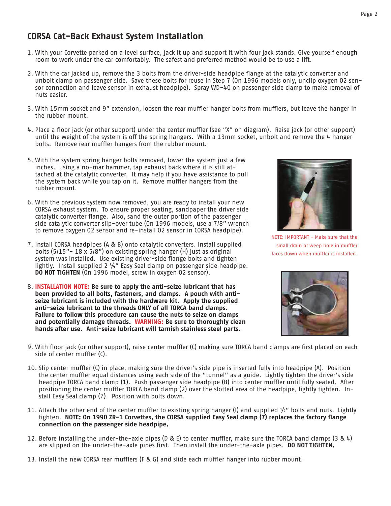# **CORSA Cat-Back Exhaust System Installation**

- 1. With your Corvette parked on a level surface, jack it up and support it with four jack stands. Give yourself enough room to work under the car comfortably. The safest and preferred method would be to use a lift.
- 2. With the car jacked up, remove the 3 bolts from the driver-side headpipe flange at the catalytic converter and unbolt clamp on passenger side. Save these bolts for reuse in Step 7 (On 1996 models only, unclip oxygen O2 sensor connection and leave sensor in exhaust headpipe). Spray WD-40 on passenger side clamp to make removal of nuts easier.
- 3. With 15mm socket and 9" extension, loosen the rear muffler hanger bolts from mufflers, but leave the hanger in the rubber mount.
- 4. Place a floor jack (or other support) under the center muffler (see "X" on diagram). Raise jack (or other support) until the weight of the system is off the spring hangers. With a 13mm socket, unbolt and remove the 4 hanger bolts. Remove rear muffler hangers from the rubber mount.
- 5. With the system spring hanger bolts removed, lower the system just a few inches. Using a no-mar hammer, tap exhaust back where it is still attached at the catalytic converter. It may help if you have assistance to pull the system back while you tap on it. Remove muffler hangers from the rubber mount.
- 6. With the previous system now removed, you are ready to install your new CORSA exhaust system. To ensure proper seating, sandpaper the driver side catalytic converter flange. Also, sand the outer portion of the passenger side catalytic converter slip-over tube (On 1996 models, use a 7/8" wrench to remove oxygen O2 sensor and re-install O2 sensor in CORSA headpipe).
- 7. Install CORSA headpipes (A & B) onto catalytic converters. Install supplied bolts (5/15"- 18 x 5/8") on existing spring hanger (H) just as original system was installed. Use existing driver-side flange bolts and tighten lightly. Install supplied 2 ¾" Easy Seal clamp on passenger side headpipe. **DO NOT TIGHTEN** (On 1996 model, screw in oxygen O2 sensor).
- 8. **INSTALLATION NOTE: Be sure to apply the anti-seize lubricant that has been provided to all bolts, fasteners, and clamps. A pouch with antiseize lubricant is included with the hardware kit. Apply the supplied anti-seize lubricant to the threads ONLY of all TORCA band clamps. Failure to follow this procedure can cause the nuts to seize on clamps and potentially damage threads. WARNING: Be sure to thoroughly clean hands after use. Anti-seize lubricant will tarnish stainless steel parts.**



NOTE: IMPORTANT - Make sure that the small drain or weep hole in muffler faces down when muffler is installed.



- 9. With floor jack (or other support), raise center muffler (C) making sure TORCA band clamps are first placed on each side of center muffler (C).
- 10. Slip center muffler (C) in place, making sure the driver's side pipe is inserted fully into headpipe (A). Position the center muffler equal distances using each side of the "tunnel" as a guide. Lightly tighten the driver's side headpipe TORCA band clamp (1). Push passenger side headpipe (B) into center muffler until fully seated. After positioning the center muffler TORCA band clamp (2) over the slotted area of the headpipe, lightly tighten. Install Easy Seal clamp (7). Position with bolts down.
- 11. Attach the other end of the center muffler to existing spring hanger (I) and supplied  $1/2$ " bolts and nuts. Lightly tighten. **NOTE: On 1990 ZR-1 Corvettes, the CORSA supplied Easy Seal clamp (7) replaces the factory flange connection on the passenger side headpipe.**
- 12. Before installing the under-the-axle pipes (D & E) to center muffler, make sure the TORCA band clamps (3 & 4) are slipped on the under-the-axle pipes first. Then install the under-the-axle pipes. **DO NOT TIGHTEN.**
- 13. Install the new CORSA rear mufflers (F & G) and slide each muffler hanger into rubber mount.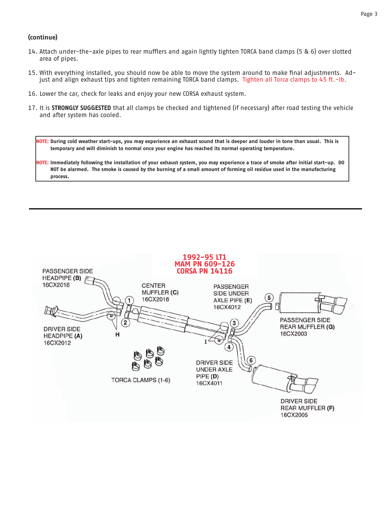#### **(continue)**

- 14. Attach under-the-axle pipes to rear mufflers and again lightly tighten TORCA band clamps (5 & 6) over slotted area of pipes.
- 15. With everything installed, you should now be able to move the system around to make final adjustments. Adjust and align exhaust tips and tighten remaining TORCA band clamps. Tighten all Torca clamps to 45 ft.-lb.
- 16. Lower the car, check for leaks and enjoy your new CORSA exhaust system.
- 17. It is **STRONGLY SUGGESTED** that all clamps be checked and tightened (if necessary) after road testing the vehicle and after system has cooled.

**NOTE: During cold weather start-ups, you may experience an exhaust sound that is deeper and louder in tone than usual. This is temporary and will diminish to normal once your engine has reached its normal operating temperature.** 

**NOTE: Immediately following the installation of your exhaust system, you may experience a trace of smoke after initial start-up. DO NOT be alarmed. The smoke is caused by the burning of a small amount of forming oil residue used in the manufacturing process.**